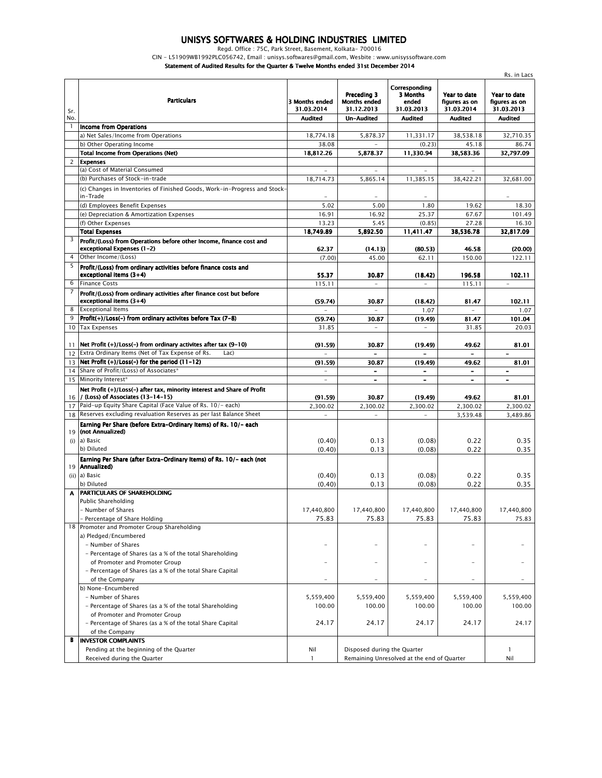## *UNISYS SOFTWARES & HOLDING INDUSTRIES LIMITED*

*Regd. Office : 75C, Park Street, Basement, Kolkata- 700016*

*CIN - L51909WB1992PLC056742, Email : unisys.softwares@gmail.com, Wesbite : www.unisyssoftware.com*

*Statement of Audited Results for the Quarter & Twelve Months ended 31st December 2014*

|            |                                                                                                              |                              |                                                                           |                                                  |                                             | Rs. in Lacs                                 |
|------------|--------------------------------------------------------------------------------------------------------------|------------------------------|---------------------------------------------------------------------------|--------------------------------------------------|---------------------------------------------|---------------------------------------------|
| Sr.<br>No. | <b>Particulars</b>                                                                                           | 3 Months ended<br>31.03.2014 | Preceding 3<br><b>Months ended</b><br>31.12.2013                          | Correspondina<br>3 Months<br>ended<br>31.03.2013 | Year to date<br>figures as on<br>31.03.2014 | Year to date<br>figures as on<br>31.03.2013 |
|            | <b>Income from Operations</b>                                                                                | <b>Audited</b>               | <b>Un-Audited</b>                                                         | <b>Audited</b>                                   | <b>Audited</b>                              | <b>Audited</b>                              |
|            | a) Net Sales/Income from Operations                                                                          | 18.774.18                    | 5,878.37                                                                  | 11,331.17                                        | 38.538.18                                   | 32,710.35                                   |
|            | b) Other Operating Income                                                                                    | 38.08                        |                                                                           | (0.23)                                           | 45.18                                       | 86.74                                       |
|            | <b>Total Income from Operations (Net)</b>                                                                    | 18,812.26                    | 5,878.37                                                                  | 11,330.94                                        | 38,583.36                                   | 32,797.09                                   |
| 2          | <b>Expenses</b>                                                                                              |                              |                                                                           |                                                  |                                             |                                             |
|            | (a) Cost of Material Consumed                                                                                |                              |                                                                           |                                                  |                                             |                                             |
|            | (b) Purchases of Stock-in-trade                                                                              | 18,714.73                    | 5,865.14                                                                  | 11,385.15                                        | 38,422.21                                   | 32,681.00                                   |
|            | (c) Changes in Inventories of Finished Goods, Work-in-Progress and Stock-<br>in-Trade                        |                              |                                                                           |                                                  |                                             |                                             |
|            | (d) Employees Benefit Expenses                                                                               | 5.02                         | 5.00                                                                      | 1.80                                             | 19.62                                       | 18.30                                       |
|            | (e) Depreciation & Amortization Expenses                                                                     | 16.91                        | 16.92                                                                     | 25.37                                            | 67.67                                       | 101.49                                      |
|            | (f) Other Expenses                                                                                           | 13.23                        | 5.45                                                                      | (0.85)                                           | 27.28                                       | 16.30                                       |
|            | <b>Total Expenses</b>                                                                                        | 18,749.89                    | 5,892.50                                                                  | 11,411.47                                        | 38,536.78                                   | 32,817.09                                   |
| 3          | Profit/(Loss) from Operations before other Income, finance cost and<br>exceptional Expenses (1-2)            | 62.37                        | (14.13)                                                                   | (80.53)                                          | 46.58                                       | (20.00)                                     |
| 4          | Other Income/(Loss)                                                                                          | (7.00)                       | 45.00                                                                     | 62.11                                            | 150.00                                      | 122.11                                      |
| 5          | Profit/(Loss) from ordinary activities before finance costs and<br>exceptional items (3+4)                   | 55.37                        | 30.87                                                                     | (18.42)                                          | 196.58                                      | 102.11                                      |
| 6          | <b>Finance Costs</b>                                                                                         | 115.11                       | $\overline{\phantom{a}}$                                                  | $\sim$                                           | 115.11                                      | $\overline{\phantom{a}}$                    |
| 7          | Profit/(Loss) from ordinary activities after finance cost but before<br>exceptional items (3+4)              | (59.74)                      | 30.87                                                                     | (18.42)                                          | 81.47                                       | 102.11                                      |
| 8          | <b>Exceptional Items</b>                                                                                     | $\equiv$                     | $\overline{\phantom{m}}$                                                  | 1.07                                             |                                             | 1.07                                        |
| 9          | Profit(+)/Loss(-) from ordinary activites before Tax (7-8)                                                   | (59.74)                      | 30.87                                                                     | (19.49)                                          | 81.47                                       | 101.04                                      |
| 10         | <b>Tax Expenses</b>                                                                                          | 31.85                        |                                                                           |                                                  | 31.85                                       | 20.03                                       |
| 11         | Net Profit $(+)/$ Loss(-) from ordinary activites after tax $(9-10)$                                         | (91.59)                      | 30.87                                                                     | (19.49)                                          | 49.62                                       | 81.01                                       |
| 12         | Extra Ordinary Items (Net of Tax Expense of Rs.<br>Lac)                                                      |                              |                                                                           |                                                  |                                             |                                             |
| 13         | Net Profit $(+)/$ Loss(-) for the period $(11-12)$                                                           | (91.59)                      | 30.87                                                                     | (19.49)                                          | 49.62                                       | 81.01                                       |
| 14         | Share of Profit/(Loss) of Associates*                                                                        |                              | $\overline{\phantom{a}}$                                                  |                                                  |                                             |                                             |
| 15         | Minority Interest*                                                                                           |                              |                                                                           |                                                  |                                             |                                             |
| 16         | Net Profit (+)/Loss(-) after tax, minority interest and Share of Profit<br>/ (Loss) of Associates (13-14-15) | (91.59)                      | 30.87                                                                     | (19.49)                                          | 49.62                                       | 81.01                                       |
| 17         | Paid-up Equity Share Capital (Face Value of Rs. 10/- each)                                                   | 2,300.02                     | 2,300.02                                                                  | 2,300.02                                         | 2,300.02                                    | 2,300.02                                    |
| 18         | Reserves excluding revaluation Reserves as per last Balance Sheet                                            | ÷.                           | $\overline{a}$                                                            |                                                  | 3,539.48                                    | 3,489.86                                    |
| 19<br>(i)  | Earning Per Share (before Extra-Ordinary Items) of Rs. 10/- each<br>(not Annualized)<br>a) Basic             | (0.40)                       | 0.13                                                                      | (0.08)                                           | 0.22                                        | 0.35                                        |
|            | b) Diluted                                                                                                   | (0.40)                       | 0.13                                                                      | (0.08)                                           | 0.22                                        | 0.35                                        |
|            | Earning Per Share (after Extra-Ordinary Items) of Rs. 10/- each (not<br>19 Annualized)                       |                              |                                                                           |                                                  |                                             |                                             |
|            | (ii) a) Basic                                                                                                | (0.40)                       | 0.13                                                                      | (0.08)                                           | 0.22                                        | 0.35                                        |
|            | b) Diluted                                                                                                   | (0.40)                       | 0.13                                                                      | (0.08)                                           | 0.22                                        | 0.35                                        |
|            | PARTICULARS OF SHAREHOLDING                                                                                  |                              |                                                                           |                                                  |                                             |                                             |
|            | Public Shareholding                                                                                          |                              |                                                                           |                                                  |                                             |                                             |
|            | - Number of Shares                                                                                           | 17,440,800                   | 17,440,800                                                                | 17,440,800                                       | 17,440,800                                  | 17,440,800                                  |
|            | - Percentage of Share Holding                                                                                | 75.83                        | 75.83                                                                     | 75.83                                            | 75.83                                       | 75.83                                       |
|            | 18 Promoter and Promoter Group Shareholding<br>a) Pledged/Encumbered                                         |                              |                                                                           |                                                  |                                             |                                             |
|            | - Number of Shares<br>- Percentage of Shares (as a % of the total Shareholding                               |                              |                                                                           |                                                  |                                             |                                             |
|            | of Promoter and Promoter Group<br>- Percentage of Shares (as a % of the total Share Capital                  |                              |                                                                           |                                                  |                                             |                                             |
|            | of the Company                                                                                               |                              |                                                                           |                                                  |                                             |                                             |
|            | b) None-Encumbered                                                                                           |                              |                                                                           |                                                  |                                             |                                             |
|            | - Number of Shares<br>- Percentage of Shares (as a % of the total Shareholding                               | 5,559,400<br>100.00          | 5,559,400<br>100.00                                                       | 5,559,400<br>100.00                              | 5,559,400<br>100.00                         | 5,559,400<br>100.00                         |
|            | of Promoter and Promoter Group<br>- Percentage of Shares (as a % of the total Share Capital                  | 24.17                        | 24.17                                                                     | 24.17                                            | 24.17                                       | 24.17                                       |
|            | of the Company                                                                                               |                              |                                                                           |                                                  |                                             |                                             |
| В          | <b>INVESTOR COMPLAINTS</b>                                                                                   |                              |                                                                           |                                                  |                                             |                                             |
|            | Pending at the beginning of the Quarter<br>Received during the Quarter                                       | Nil<br>$\mathbf{1}$          | Disposed during the Quarter<br>Remaining Unresolved at the end of Quarter |                                                  | -1<br>Nil                                   |                                             |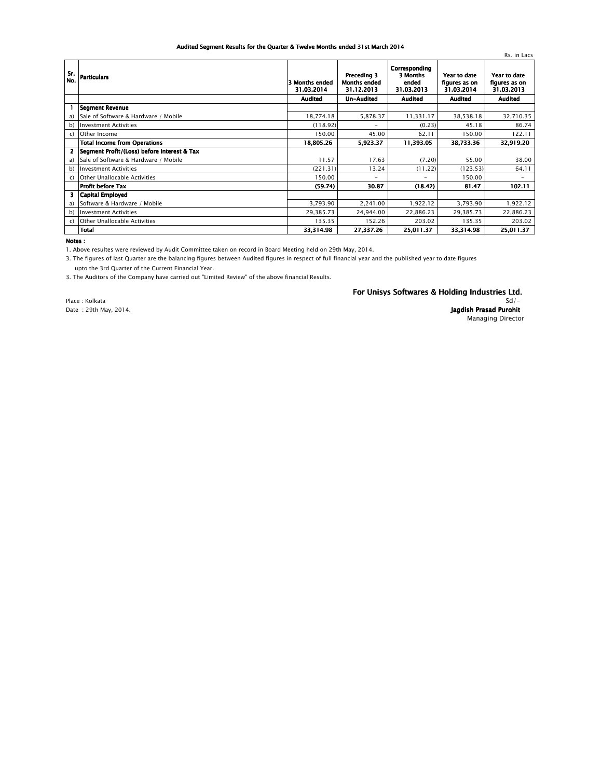## *Audited Segment Results for the Quarter & Twelve Months ended 31st March 2014*

|                |                                             |                              |                                                  |                                                  |                                             | Rs. in Lacs                                 |
|----------------|---------------------------------------------|------------------------------|--------------------------------------------------|--------------------------------------------------|---------------------------------------------|---------------------------------------------|
| Sr.<br>No.     | <b>Particulars</b>                          | 3 Months ended<br>31.03.2014 | Preceding 3<br><b>Months ended</b><br>31.12.2013 | Corresponding<br>3 Months<br>ended<br>31.03.2013 | Year to date<br>figures as on<br>31.03.2014 | Year to date<br>figures as on<br>31.03.2013 |
|                |                                             | <b>Audited</b>               | Un-Audited                                       | <b>Audited</b>                                   | <b>Audited</b>                              | <b>Audited</b>                              |
|                | <b>Segment Revenue</b>                      |                              |                                                  |                                                  |                                             |                                             |
| a)             | Sale of Software & Hardware / Mobile        | 18,774.18                    | 5,878.37                                         | 11,331.17                                        | 38,538.18                                   | 32,710.35                                   |
| b)             | <b>Investment Activities</b>                | (118.92)                     | $\overline{\phantom{0}}$                         | (0.23)                                           | 45.18                                       | 86.74                                       |
| C)             | Other Income                                | 150.00                       | 45.00                                            | 62.11                                            | 150.00                                      | 122.11                                      |
|                | <b>Total Income from Operations</b>         | 18,805.26                    | 5,923.37                                         | 11,393.05                                        | 38,733.36                                   | 32,919.20                                   |
| $\overline{2}$ | Segment Profit/(Loss) before Interest & Tax |                              |                                                  |                                                  |                                             |                                             |
| a)             | Sale of Software & Hardware / Mobile        | 11.57                        | 17.63                                            | (7.20)                                           | 55.00                                       | 38.00                                       |
| b)             | <b>Investment Activities</b>                | (221.31)                     | 13.24                                            | (11.22)                                          | (123.53)                                    | 64.11                                       |
| $\mathsf{C}$   | Other Unallocable Activities                | 150.00                       | $\overline{\phantom{0}}$                         |                                                  | 150.00                                      |                                             |
|                | <b>Profit before Tax</b>                    | (59.74)                      | 30.87                                            | (18.42)                                          | 81.47                                       | 102.11                                      |
| 3              | Capital Employed                            |                              |                                                  |                                                  |                                             |                                             |
| a)             | Software & Hardware / Mobile                | 3,793.90                     | 2,241.00                                         | 1,922.12                                         | 3,793.90                                    | 1,922.12                                    |
| b)             | <b>Investment Activities</b>                | 29,385.73                    | 24.944.00                                        | 22,886.23                                        | 29,385.73                                   | 22,886.23                                   |
| C)             | Other Unallocable Activities                | 135.35                       | 152.26                                           | 203.02                                           | 135.35                                      | 203.02                                      |
|                | <b>Total</b>                                | 33,314.98                    | 27,337.26                                        | 25,011.37                                        | 33,314.98                                   | 25,011.37                                   |

*Notes :*

*1. Above resultes were reviewed by Audit Committee taken on record in Board Meeting held on 29th May, 2014.*

*3. The figures of last Quarter are the balancing figures between Audited figures in respect of full financial year and the published year to date figures upto the 3rd Quarter of the Current Financial Year.*

*3. The Auditors of the Company have carried out "Limited Review" of the above financial Results.*

*Place : Kolkata Date : 29th May, 2014.*

## *For Unisys Softwares & Holding Industries Ltd.*

*Sd/- Jagdish Prasad Purohit Managing Director*